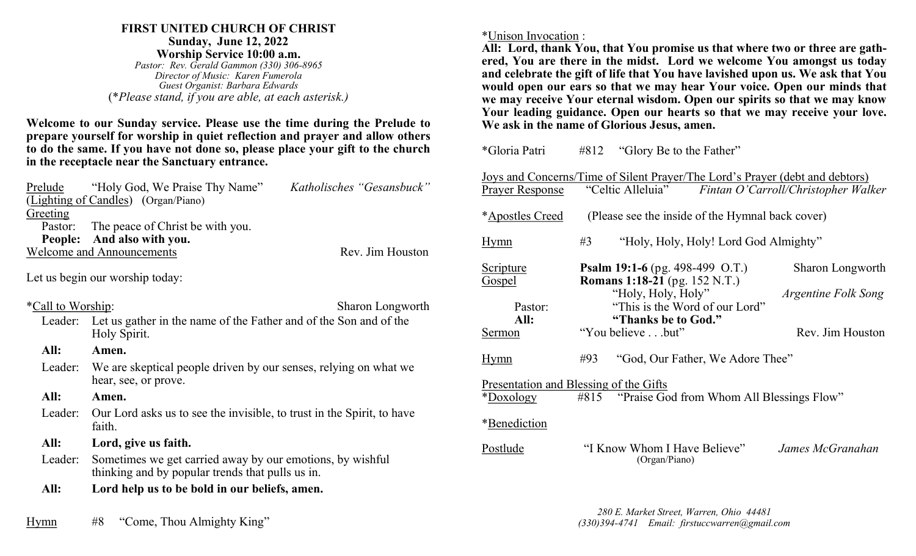### **FIRST UNITED CHURCH OF CHRIST Sunday, June 12, 2022 Worship Service 10:00 a.m.**

*Pastor: Rev. Gerald Gammon (330) 306-8965 Director of Music: Karen Fumerola Guest Organist: Barbara Edwards* (\**Please stand, if you are able, at each asterisk.)*

**Welcome to our Sunday service. Please use the time during the Prelude to prepare yourself for worship in quiet reflection and prayer and allow others to do the same. If you have not done so, please place your gift to the church in the receptacle near the Sanctuary entrance.**

|                                  | Prelude "Holy God, We Praise Thy Name"   | Katholisches "Gesansbuck" |
|----------------------------------|------------------------------------------|---------------------------|
|                                  | (Lighting of Candles) (Organ/Piano)      |                           |
| Greeting                         |                                          |                           |
|                                  | Pastor: The peace of Christ be with you. |                           |
|                                  | People: And also with you.               |                           |
| <b>Welcome and Announcements</b> |                                          | Rev. Jim Houston          |
|                                  |                                          |                           |

Let us begin our worship today:

| <i>*Call to Worship:</i> | <b>Sharon Longworth</b>                                                                                       |
|--------------------------|---------------------------------------------------------------------------------------------------------------|
|                          | Leader: Let us gather in the name of the Father and of the Son and of the<br>Holy Spirit.                     |
| All:                     | Amen.                                                                                                         |
|                          | Leader: We are skeptical people driven by our senses, relying on what we<br>hear, see, or prove.              |
| All:                     | Amen.                                                                                                         |
| Leader:                  | Our Lord asks us to see the invisible, to trust in the Spirit, to have<br>faith.                              |
| All:                     | Lord, give us faith.                                                                                          |
| Leader:                  | Sometimes we get carried away by our emotions, by wishful<br>thinking and by popular trends that pulls us in. |
| All:                     | Lord help us to be bold in our beliefs, amen.                                                                 |

Hymn #8 "Come, Thou Almighty King"

#### \*Unison Invocation :

**All: Lord, thank You, that You promise us that where two or three are gathered, You are there in the midst. Lord we welcome You amongst us today and celebrate the gift of life that You have lavished upon us. We ask that You would open our ears so that we may hear Your voice. Open our minds that we may receive Your eternal wisdom. Open our spirits so that we may know Your leading guidance. Open our hearts so that we may receive your love. We ask in the name of Glorious Jesus, amen.**

| *Gloria Patri                                                                                                                                                             | #812 | "Glory Be to the Father"                                                                        |                                                |  |
|---------------------------------------------------------------------------------------------------------------------------------------------------------------------------|------|-------------------------------------------------------------------------------------------------|------------------------------------------------|--|
| <u>Joys and Concerns/Time of Silent Prayer/The Lord's Prayer (debt and debtors)</u><br>"Celtic Alleluia"<br>Fintan O'Carroll/Christopher Walker<br><b>Prayer Response</b> |      |                                                                                                 |                                                |  |
| <i>*Apostles Creed</i><br>(Please see the inside of the Hymnal back cover)                                                                                                |      |                                                                                                 |                                                |  |
| Hymn                                                                                                                                                                      | #3   | "Holy, Holy, Holy! Lord God Almighty"                                                           |                                                |  |
| Scripture<br><b>Gospel</b>                                                                                                                                                |      | <b>Psalm 19:1-6</b> (pg. 498-499 O.T.)<br><b>Romans 1:18-21</b> (pg. 152 N.T.)                  | <b>Sharon Longworth</b>                        |  |
| Pastor:<br>All:<br>Sermon                                                                                                                                                 |      | "Holy, Holy, Holy"<br>"This is the Word of our Lord"<br>"Thanks be to God."<br>"You believebut" | <i>Argentine Folk Song</i><br>Rev. Jim Houston |  |
|                                                                                                                                                                           | #93  |                                                                                                 |                                                |  |
| "God, Our Father, We Adore Thee"<br><u>Hymn</u><br>Presentation and Blessing of the Gifts<br>#815 "Praise God from Whom All Blessings Flow"<br>*Doxology                  |      |                                                                                                 |                                                |  |
| *Benediction                                                                                                                                                              |      |                                                                                                 |                                                |  |
| <u>Postlude</u>                                                                                                                                                           |      | "I Know Whom I Have Believe"<br>(Organ/Piano)                                                   | James McGranahan                               |  |